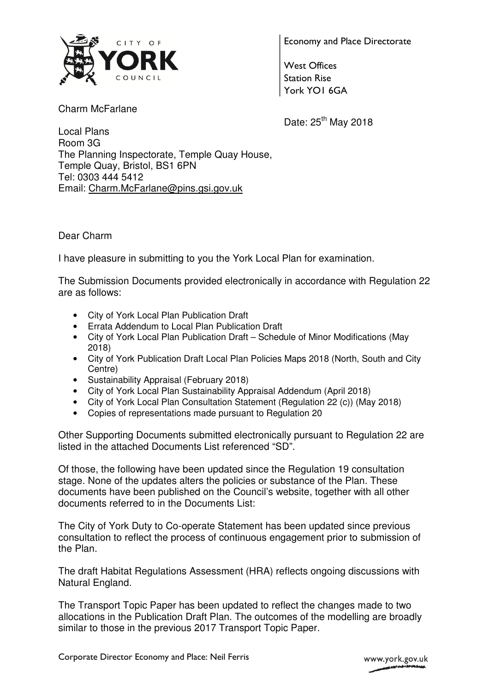

Charm McFarlane

Economy and Place Directorate

West Offices Station Rise York YO1 6GA

Date:  $25<sup>th</sup>$  May 2018

Local Plans Room 3G The Planning Inspectorate, Temple Quay House, Temple Quay, Bristol, BS1 6PN Tel: 0303 444 5412 Email: Charm.McFarlane@pins.gsi.gov.uk

Dear Charm

I have pleasure in submitting to you the York Local Plan for examination.

The Submission Documents provided electronically in accordance with Regulation 22 are as follows:

- City of York Local Plan Publication Draft
- Errata Addendum to Local Plan Publication Draft
- City of York Local Plan Publication Draft Schedule of Minor Modifications (May 2018)
- City of York Publication Draft Local Plan Policies Maps 2018 (North, South and City Centre)
- Sustainability Appraisal (February 2018)
- City of York Local Plan Sustainability Appraisal Addendum (April 2018)
- City of York Local Plan Consultation Statement (Regulation 22 (c)) (May 2018)
- Copies of representations made pursuant to Regulation 20

Other Supporting Documents submitted electronically pursuant to Regulation 22 are listed in the attached Documents List referenced "SD".

Of those, the following have been updated since the Regulation 19 consultation stage. None of the updates alters the policies or substance of the Plan. These documents have been published on the Council's website, together with all other documents referred to in the Documents List:

The City of York Duty to Co-operate Statement has been updated since previous consultation to reflect the process of continuous engagement prior to submission of the Plan.

The draft Habitat Regulations Assessment (HRA) reflects ongoing discussions with Natural England.

The Transport Topic Paper has been updated to reflect the changes made to two allocations in the Publication Draft Plan. The outcomes of the modelling are broadly similar to those in the previous 2017 Transport Topic Paper.